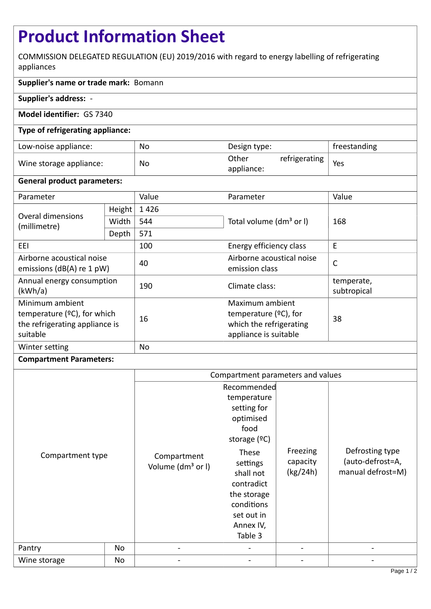# **Product Information Sheet**

COMMISSION DELEGATED REGULATION (EU) 2019/2016 with regard to energy labelling of refrigerating appliances

## **Supplier's name or trade mark:** Bomann

## **Supplier's address:** -

## **Model identifier:** GS 7340

## **Type of refrigerating appliance:**

| Low-noise appliance:    | No | Design type:                         | freestanding |
|-------------------------|----|--------------------------------------|--------------|
| Wine storage appliance: | No | refrigerating<br>Other<br>appliance: | Yes          |

#### **General product parameters:**

| Parameter                                                                                       |        | Value     | Parameter                                                                                       | Value                     |
|-------------------------------------------------------------------------------------------------|--------|-----------|-------------------------------------------------------------------------------------------------|---------------------------|
| Overal dimensions<br>(millimetre)                                                               | Height | 1426      |                                                                                                 | 168                       |
|                                                                                                 | Width  | 544       | Total volume (dm <sup>3</sup> or I)                                                             |                           |
|                                                                                                 | Depth  | 571       |                                                                                                 |                           |
| EEI                                                                                             |        | 100       | Energy efficiency class                                                                         | E                         |
| Airborne acoustical noise<br>emissions ( $dB(A)$ re 1 pW)                                       |        | 40        | Airborne acoustical noise<br>emission class                                                     | $\mathsf{C}$              |
| Annual energy consumption<br>(kWh/a)                                                            |        | 190       | Climate class:                                                                                  | temperate,<br>subtropical |
| Minimum ambient<br>temperature $(°C)$ , for which<br>the refrigerating appliance is<br>suitable |        | 16        | Maximum ambient<br>temperature $(°C)$ , for<br>which the refrigerating<br>appliance is suitable | 38                        |
| Winter setting                                                                                  |        | <b>No</b> |                                                                                                 |                           |

## **Compartment Parameters:**

|                  |    | Compartment parameters and values            |                                                                                                                                                                                                     |                                  |                                                          |
|------------------|----|----------------------------------------------|-----------------------------------------------------------------------------------------------------------------------------------------------------------------------------------------------------|----------------------------------|----------------------------------------------------------|
| Compartment type |    | Compartment<br>Volume (dm <sup>3</sup> or I) | Recommended<br>temperature<br>setting for<br>optimised<br>food<br>storage $(°C)$<br>These<br>settings<br>shall not<br>contradict<br>the storage<br>conditions<br>set out in<br>Annex IV,<br>Table 3 | Freezing<br>capacity<br>(kg/24h) | Defrosting type<br>(auto-defrost=A,<br>manual defrost=M) |
|                  |    |                                              |                                                                                                                                                                                                     |                                  |                                                          |
| Wine storage     | No |                                              |                                                                                                                                                                                                     |                                  |                                                          |